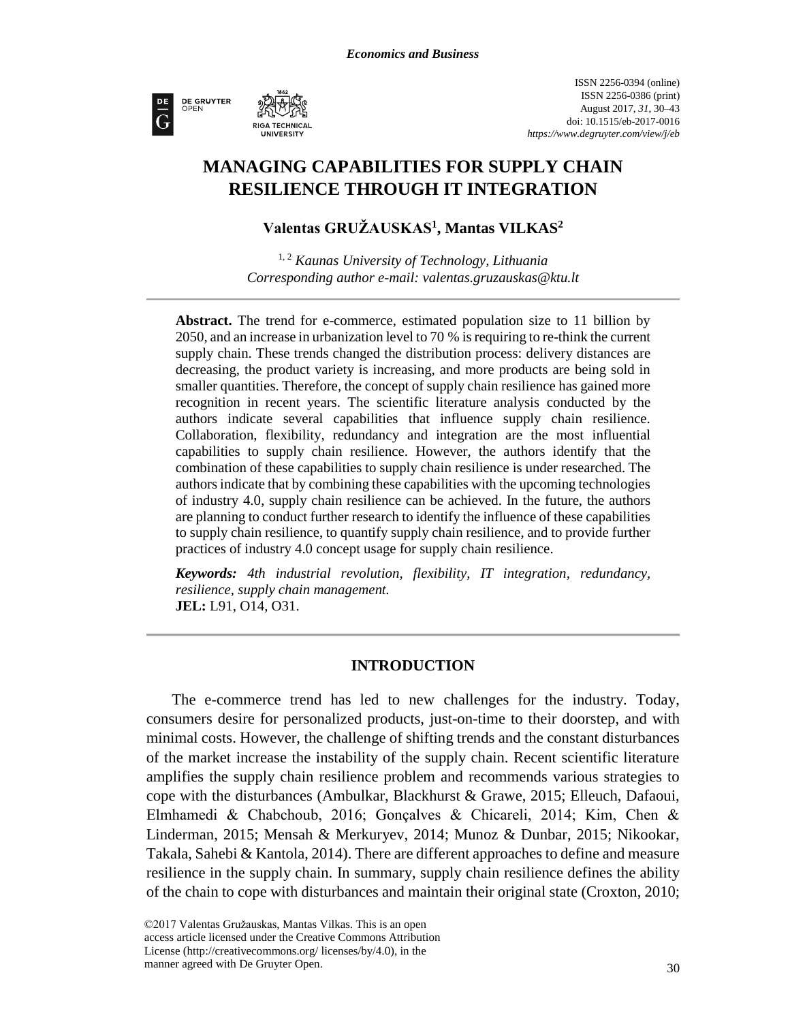



ISSN 2256-0394 (online) ISSN 2256-0386 (print) August 2017, *31*, 30–43 doi: 10.1515/eb-2017-0016 *https://www.degruyter.com/view/j/eb*

# **MANAGING CAPABILITIES FOR SUPPLY CHAIN RESILIENCE THROUGH IT INTEGRATION**

# **Valentas GRUŽAUSKAS<sup>1</sup> , Mantas VILKAS<sup>2</sup>**

1, 2 *Kaunas University of Technology, Lithuania Corresponding author e-mail: valentas.gruzauskas@ktu.lt*

**Abstract.** The trend for e-commerce, estimated population size to 11 billion by 2050, and an increase in urbanization level to 70 % is requiring to re-think the current supply chain. These trends changed the distribution process: delivery distances are decreasing, the product variety is increasing, and more products are being sold in smaller quantities. Therefore, the concept of supply chain resilience has gained more recognition in recent years. The scientific literature analysis conducted by the authors indicate several capabilities that influence supply chain resilience. Collaboration, flexibility, redundancy and integration are the most influential capabilities to supply chain resilience. However, the authors identify that the combination of these capabilities to supply chain resilience is under researched. The authors indicate that by combining these capabilities with the upcoming technologies of industry 4.0, supply chain resilience can be achieved. In the future, the authors are planning to conduct further research to identify the influence of these capabilities to supply chain resilience, to quantify supply chain resilience, and to provide further practices of industry 4.0 concept usage for supply chain resilience.

*Keywords: 4th industrial revolution, flexibility, IT integration, redundancy, resilience, supply chain management.* **JEL:** L91, O14, O31.

# **INTRODUCTION**

The e-commerce trend has led to new challenges for the industry. Today, consumers desire for personalized products, just-on-time to their doorstep, and with minimal costs. However, the challenge of shifting trends and the constant disturbances of the market increase the instability of the supply chain. Recent scientific literature amplifies the supply chain resilience problem and recommends various strategies to cope with the disturbances (Ambulkar, Blackhurst & Grawe, 2015; Elleuch, Dafaoui, Elmhamedi & Chabchoub, 2016; Gonçalves & Chicareli, 2014; Kim, Chen & Linderman, 2015; Mensah & Merkuryev, 2014; Munoz & Dunbar, 2015; Nikookar, Takala, Sahebi & Kantola, 2014). There are different approaches to define and measure resilience in the supply chain. In summary, supply chain resilience defines the ability of the chain to cope with disturbances and maintain their original state (Croxton, 2010;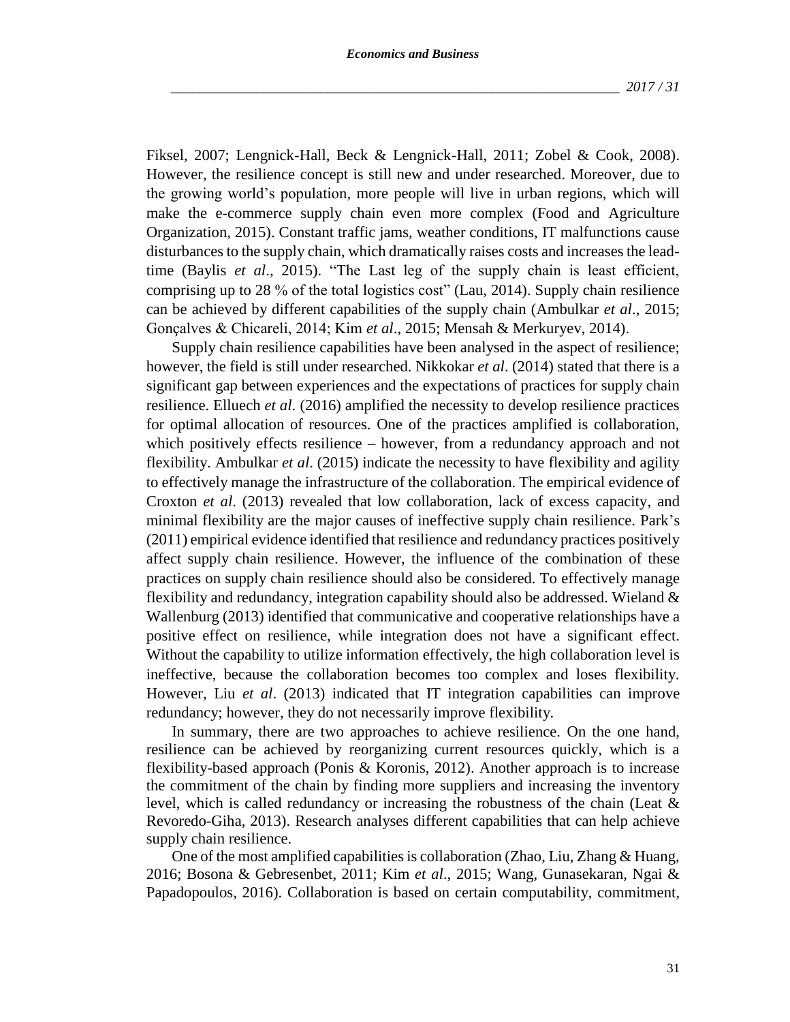Fiksel, 2007; Lengnick-Hall, Beck & Lengnick-Hall, 2011; Zobel & Cook, 2008). However, the resilience concept is still new and under researched. Moreover, due to the growing world's population, more people will live in urban regions, which will make the e-commerce supply chain even more complex (Food and Agriculture Organization, 2015). Constant traffic jams, weather conditions, IT malfunctions cause disturbances to the supply chain, which dramatically raises costs and increases the leadtime (Baylis *et al*., 2015). "The Last leg of the supply chain is least efficient, comprising up to 28 % of the total logistics cost" (Lau, 2014). Supply chain resilience can be achieved by different capabilities of the supply chain (Ambulkar *et al*., 2015; Gonçalves & Chicareli, 2014; Kim *et al*., 2015; Mensah & Merkuryev, 2014).

Supply chain resilience capabilities have been analysed in the aspect of resilience; however, the field is still under researched. Nikkokar *et al*. (2014) stated that there is a significant gap between experiences and the expectations of practices for supply chain resilience. Elluech *et al*. (2016) amplified the necessity to develop resilience practices for optimal allocation of resources. One of the practices amplified is collaboration, which positively effects resilience – however, from a redundancy approach and not flexibility. Ambulkar *et al*. (2015) indicate the necessity to have flexibility and agility to effectively manage the infrastructure of the collaboration. The empirical evidence of Croxton *et al*. (2013) revealed that low collaboration, lack of excess capacity, and minimal flexibility are the major causes of ineffective supply chain resilience. Park's (2011) empirical evidence identified that resilience and redundancy practices positively affect supply chain resilience. However, the influence of the combination of these practices on supply chain resilience should also be considered. To effectively manage flexibility and redundancy, integration capability should also be addressed. Wieland  $\&$ Wallenburg (2013) identified that communicative and cooperative relationships have a positive effect on resilience, while integration does not have a significant effect. Without the capability to utilize information effectively, the high collaboration level is ineffective, because the collaboration becomes too complex and loses flexibility. However, Liu *et al*. (2013) indicated that IT integration capabilities can improve redundancy; however, they do not necessarily improve flexibility.

In summary, there are two approaches to achieve resilience. On the one hand, resilience can be achieved by reorganizing current resources quickly, which is a flexibility-based approach (Ponis & Koronis, 2012). Another approach is to increase the commitment of the chain by finding more suppliers and increasing the inventory level, which is called redundancy or increasing the robustness of the chain (Leat & Revoredo-Giha, 2013). Research analyses different capabilities that can help achieve supply chain resilience.

One of the most amplified capabilities is collaboration (Zhao, Liu, Zhang & Huang, 2016; Bosona & Gebresenbet, 2011; Kim *et al*., 2015; Wang, Gunasekaran, Ngai & Papadopoulos, 2016). Collaboration is based on certain computability, commitment,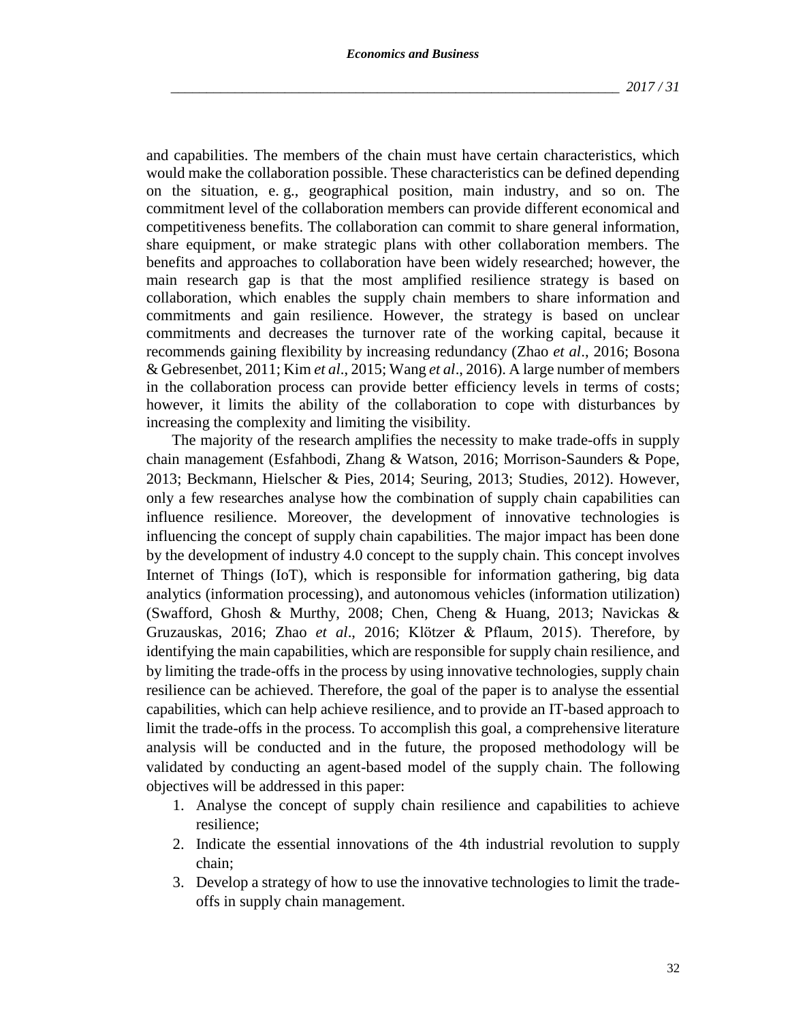and capabilities. The members of the chain must have certain characteristics, which would make the collaboration possible. These characteristics can be defined depending on the situation, e. g., geographical position, main industry, and so on. The commitment level of the collaboration members can provide different economical and competitiveness benefits. The collaboration can commit to share general information, share equipment, or make strategic plans with other collaboration members. The benefits and approaches to collaboration have been widely researched; however, the main research gap is that the most amplified resilience strategy is based on collaboration, which enables the supply chain members to share information and commitments and gain resilience. However, the strategy is based on unclear commitments and decreases the turnover rate of the working capital, because it recommends gaining flexibility by increasing redundancy (Zhao *et al*., 2016; Bosona & Gebresenbet, 2011; Kim *et al*., 2015; Wang *et al*., 2016). A large number of members in the collaboration process can provide better efficiency levels in terms of costs; however, it limits the ability of the collaboration to cope with disturbances by increasing the complexity and limiting the visibility.

The majority of the research amplifies the necessity to make trade-offs in supply chain management (Esfahbodi, Zhang & Watson, 2016; Morrison-Saunders & Pope, 2013; Beckmann, Hielscher & Pies, 2014; Seuring, 2013; Studies, 2012). However, only a few researches analyse how the combination of supply chain capabilities can influence resilience. Moreover, the development of innovative technologies is influencing the concept of supply chain capabilities. The major impact has been done by the development of industry 4.0 concept to the supply chain. This concept involves Internet of Things (IoT), which is responsible for information gathering, big data analytics (information processing), and autonomous vehicles (information utilization) (Swafford, Ghosh & Murthy, 2008; Chen, Cheng & Huang, 2013; Navickas & Gruzauskas, 2016; Zhao *et al*., 2016; Klötzer & Pflaum, 2015). Therefore, by identifying the main capabilities, which are responsible for supply chain resilience, and by limiting the trade-offs in the process by using innovative technologies, supply chain resilience can be achieved. Therefore, the goal of the paper is to analyse the essential capabilities, which can help achieve resilience, and to provide an IT-based approach to limit the trade-offs in the process. To accomplish this goal, a comprehensive literature analysis will be conducted and in the future, the proposed methodology will be validated by conducting an agent-based model of the supply chain. The following objectives will be addressed in this paper:

- 1. Analyse the concept of supply chain resilience and capabilities to achieve resilience;
- 2. Indicate the essential innovations of the 4th industrial revolution to supply chain;
- 3. Develop a strategy of how to use the innovative technologies to limit the tradeoffs in supply chain management.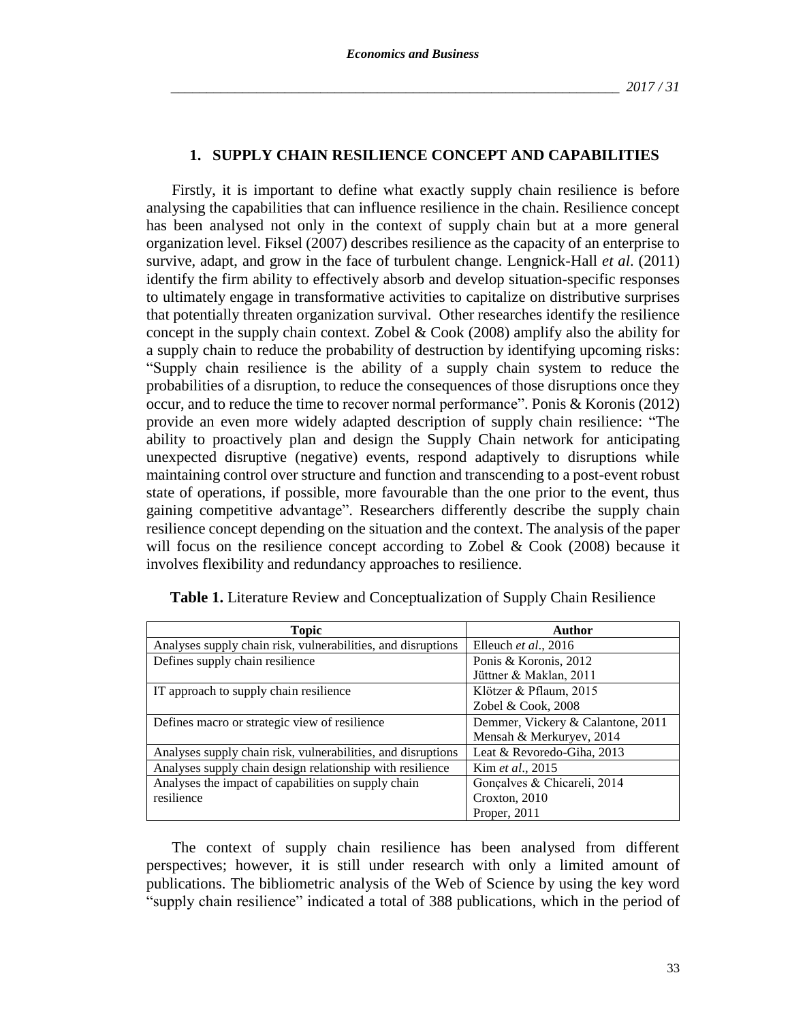## **1. SUPPLY CHAIN RESILIENCE CONCEPT AND CAPABILITIES**

Firstly, it is important to define what exactly supply chain resilience is before analysing the capabilities that can influence resilience in the chain. Resilience concept has been analysed not only in the context of supply chain but at a more general organization level. Fiksel (2007) describes resilience as the capacity of an enterprise to survive, adapt, and grow in the face of turbulent change. Lengnick-Hall *et al*. (2011) identify the firm ability to effectively absorb and develop situation-specific responses to ultimately engage in transformative activities to capitalize on distributive surprises that potentially threaten organization survival. Other researches identify the resilience concept in the supply chain context. Zobel & Cook (2008) amplify also the ability for a supply chain to reduce the probability of destruction by identifying upcoming risks: "Supply chain resilience is the ability of a supply chain system to reduce the probabilities of a disruption, to reduce the consequences of those disruptions once they occur, and to reduce the time to recover normal performance". Ponis & Koronis (2012) provide an even more widely adapted description of supply chain resilience: "The ability to proactively plan and design the Supply Chain network for anticipating unexpected disruptive (negative) events, respond adaptively to disruptions while maintaining control over structure and function and transcending to a post-event robust state of operations, if possible, more favourable than the one prior to the event, thus gaining competitive advantage". Researchers differently describe the supply chain resilience concept depending on the situation and the context. The analysis of the paper will focus on the resilience concept according to Zobel & Cook (2008) because it involves flexibility and redundancy approaches to resilience.

| <b>Topic</b>                                                 | Author                            |
|--------------------------------------------------------------|-----------------------------------|
| Analyses supply chain risk, vulnerabilities, and disruptions | Elleuch et al., 2016              |
| Defines supply chain resilience                              | Ponis & Koronis, 2012             |
|                                                              | Jüttner & Maklan, 2011            |
| IT approach to supply chain resilience                       | Klötzer & Pflaum, 2015            |
|                                                              | Zobel & Cook, 2008                |
| Defines macro or strategic view of resilience                | Demmer, Vickery & Calantone, 2011 |
|                                                              | Mensah & Merkuryev, 2014          |
| Analyses supply chain risk, vulnerabilities, and disruptions | Leat & Revoredo-Giha, 2013        |
| Analyses supply chain design relationship with resilience    | Kim <i>et al.</i> , 2015          |
| Analyses the impact of capabilities on supply chain          | Gonçalves & Chicareli, 2014       |
| resilience                                                   | Croxton, 2010                     |
|                                                              | Proper, $2011$                    |

**Table 1.** Literature Review and Conceptualization of Supply Chain Resilience

The context of supply chain resilience has been analysed from different perspectives; however, it is still under research with only a limited amount of publications. The bibliometric analysis of the Web of Science by using the key word "supply chain resilience" indicated a total of 388 publications, which in the period of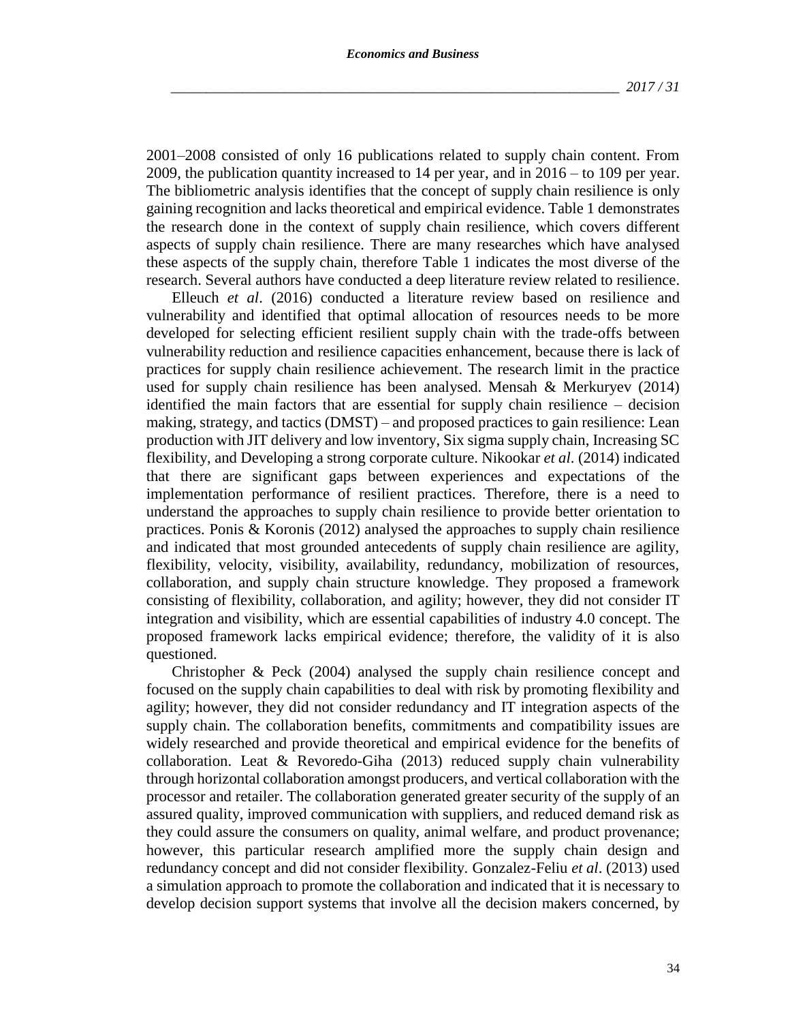2001–2008 consisted of only 16 publications related to supply chain content. From 2009, the publication quantity increased to 14 per year, and in 2016 – to 109 per year. The bibliometric analysis identifies that the concept of supply chain resilience is only gaining recognition and lacks theoretical and empirical evidence. Table 1 demonstrates the research done in the context of supply chain resilience, which covers different aspects of supply chain resilience. There are many researches which have analysed these aspects of the supply chain, therefore Table 1 indicates the most diverse of the research. Several authors have conducted a deep literature review related to resilience.

Elleuch *et al*. (2016) conducted a literature review based on resilience and vulnerability and identified that optimal allocation of resources needs to be more developed for selecting efficient resilient supply chain with the trade-offs between vulnerability reduction and resilience capacities enhancement, because there is lack of practices for supply chain resilience achievement. The research limit in the practice used for supply chain resilience has been analysed. Mensah & Merkuryev (2014) identified the main factors that are essential for supply chain resilience – decision making, strategy, and tactics (DMST) – and proposed practices to gain resilience: Lean production with JIT delivery and low inventory, Six sigma supply chain, Increasing SC flexibility, and Developing a strong corporate culture. Nikookar *et al*. (2014) indicated that there are significant gaps between experiences and expectations of the implementation performance of resilient practices. Therefore, there is a need to understand the approaches to supply chain resilience to provide better orientation to practices. Ponis & Koronis (2012) analysed the approaches to supply chain resilience and indicated that most grounded antecedents of supply chain resilience are agility, flexibility, velocity, visibility, availability, redundancy, mobilization of resources, collaboration, and supply chain structure knowledge. They proposed a framework consisting of flexibility, collaboration, and agility; however, they did not consider IT integration and visibility, which are essential capabilities of industry 4.0 concept. The proposed framework lacks empirical evidence; therefore, the validity of it is also questioned.

Christopher & Peck (2004) analysed the supply chain resilience concept and focused on the supply chain capabilities to deal with risk by promoting flexibility and agility; however, they did not consider redundancy and IT integration aspects of the supply chain. The collaboration benefits, commitments and compatibility issues are widely researched and provide theoretical and empirical evidence for the benefits of collaboration. Leat & Revoredo-Giha (2013) reduced supply chain vulnerability through horizontal collaboration amongst producers, and vertical collaboration with the processor and retailer. The collaboration generated greater security of the supply of an assured quality, improved communication with suppliers, and reduced demand risk as they could assure the consumers on quality, animal welfare, and product provenance; however, this particular research amplified more the supply chain design and redundancy concept and did not consider flexibility. Gonzalez-Feliu *et al*. (2013) used a simulation approach to promote the collaboration and indicated that it is necessary to develop decision support systems that involve all the decision makers concerned, by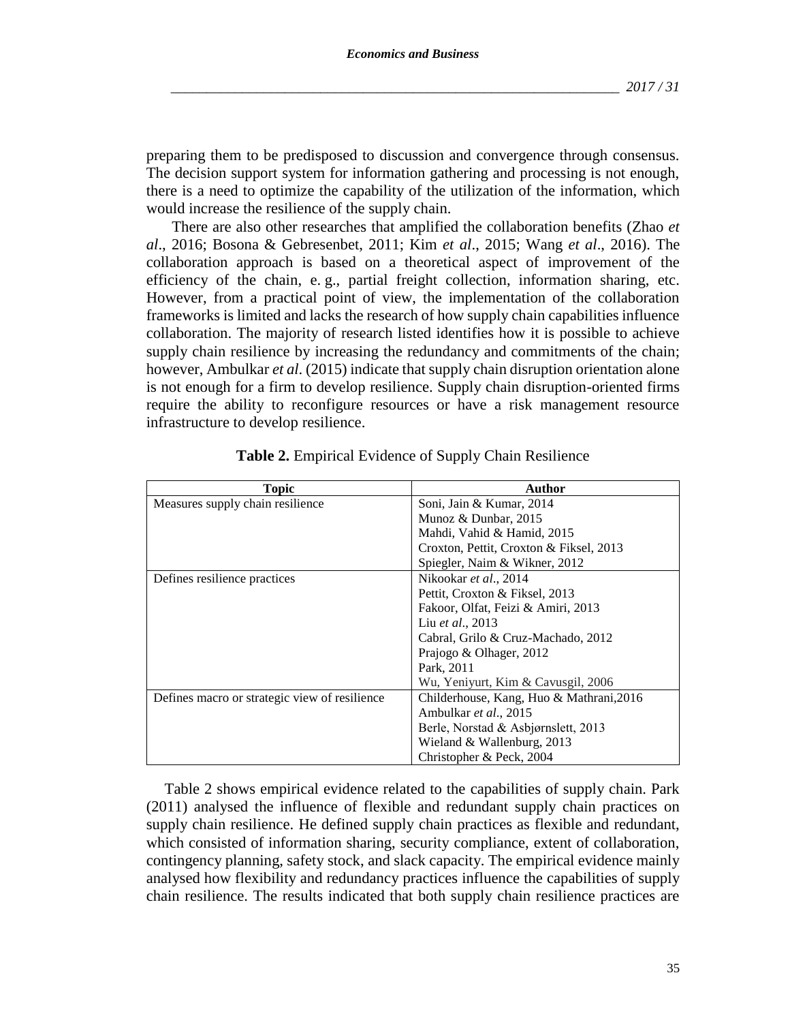preparing them to be predisposed to discussion and convergence through consensus. The decision support system for information gathering and processing is not enough, there is a need to optimize the capability of the utilization of the information, which would increase the resilience of the supply chain.

There are also other researches that amplified the collaboration benefits (Zhao *et al*., 2016; Bosona & Gebresenbet, 2011; Kim *et al*., 2015; Wang *et al*., 2016). The collaboration approach is based on a theoretical aspect of improvement of the efficiency of the chain, e. g., partial freight collection, information sharing, etc. However, from a practical point of view, the implementation of the collaboration frameworks is limited and lacks the research of how supply chain capabilities influence collaboration. The majority of research listed identifies how it is possible to achieve supply chain resilience by increasing the redundancy and commitments of the chain; however, Ambulkar *et al*. (2015) indicate that supply chain disruption orientation alone is not enough for a firm to develop resilience. Supply chain disruption-oriented firms require the ability to reconfigure resources or have a risk management resource infrastructure to develop resilience.

| <b>Topic</b>                                  | Author                                   |
|-----------------------------------------------|------------------------------------------|
| Measures supply chain resilience              | Soni, Jain & Kumar, 2014                 |
|                                               | Munoz & Dunbar, 2015                     |
|                                               | Mahdi, Vahid & Hamid, 2015               |
|                                               | Croxton, Pettit, Croxton & Fiksel, 2013  |
|                                               | Spiegler, Naim & Wikner, 2012            |
| Defines resilience practices                  | Nikookar et al., 2014                    |
|                                               | Pettit, Croxton & Fiksel, 2013           |
|                                               | Fakoor, Olfat, Feizi & Amiri, 2013       |
|                                               | Liu et al., 2013                         |
|                                               | Cabral, Grilo & Cruz-Machado, 2012       |
|                                               | Prajogo & Olhager, 2012                  |
|                                               | Park, 2011                               |
|                                               | Wu, Yeniyurt, Kim & Cavusgil, 2006       |
| Defines macro or strategic view of resilience | Childerhouse, Kang, Huo & Mathrani, 2016 |
|                                               | Ambulkar et al., 2015                    |
|                                               | Berle, Norstad & Asbjørnslett, 2013      |
|                                               | Wieland & Wallenburg, 2013               |
|                                               | Christopher & Peck, 2004                 |

**Table 2.** Empirical Evidence of Supply Chain Resilience

Table 2 shows empirical evidence related to the capabilities of supply chain. Park (2011) analysed the influence of flexible and redundant supply chain practices on supply chain resilience. He defined supply chain practices as flexible and redundant, which consisted of information sharing, security compliance, extent of collaboration, contingency planning, safety stock, and slack capacity. The empirical evidence mainly analysed how flexibility and redundancy practices influence the capabilities of supply chain resilience. The results indicated that both supply chain resilience practices are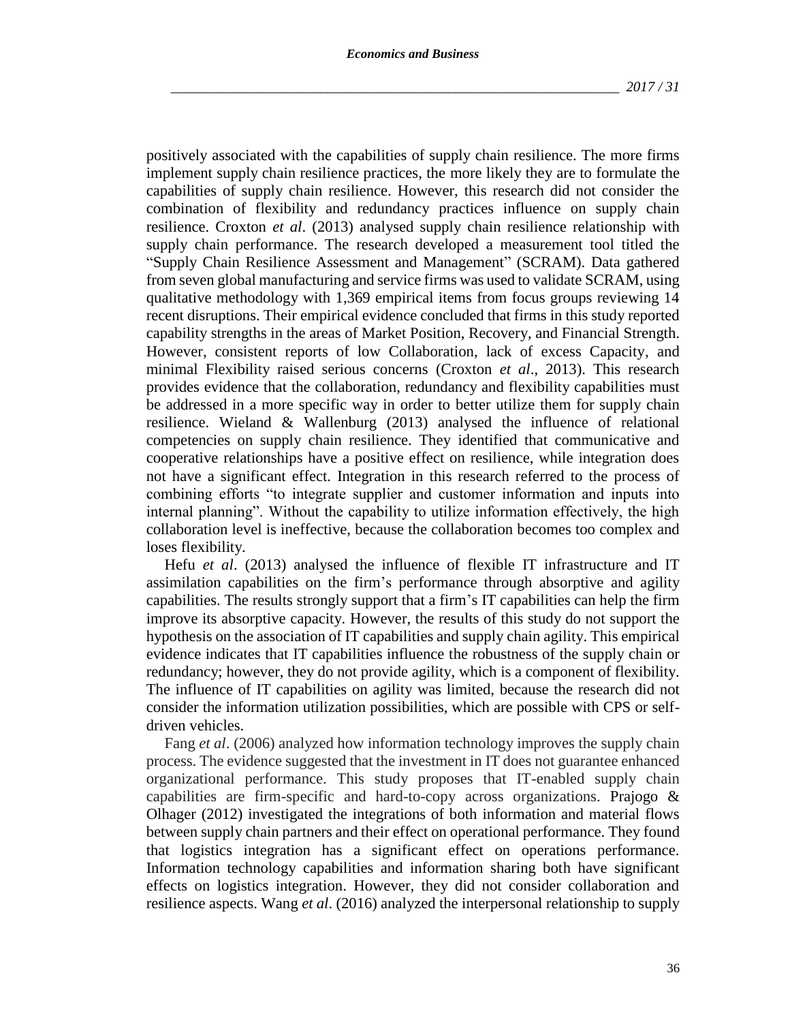positively associated with the capabilities of supply chain resilience. The more firms implement supply chain resilience practices, the more likely they are to formulate the capabilities of supply chain resilience. However, this research did not consider the combination of flexibility and redundancy practices influence on supply chain resilience. Croxton *et al*. (2013) analysed supply chain resilience relationship with supply chain performance. The research developed a measurement tool titled the "Supply Chain Resilience Assessment and Management" (SCRAM). Data gathered from seven global manufacturing and service firms was used to validate SCRAM, using qualitative methodology with 1,369 empirical items from focus groups reviewing 14 recent disruptions. Their empirical evidence concluded that firms in this study reported capability strengths in the areas of Market Position, Recovery, and Financial Strength. However, consistent reports of low Collaboration, lack of excess Capacity, and minimal Flexibility raised serious concerns (Croxton *et al*., 2013). This research provides evidence that the collaboration, redundancy and flexibility capabilities must be addressed in a more specific way in order to better utilize them for supply chain resilience. Wieland & Wallenburg (2013) analysed the influence of relational competencies on supply chain resilience. They identified that communicative and cooperative relationships have a positive effect on resilience, while integration does not have a significant effect. Integration in this research referred to the process of combining efforts "to integrate supplier and customer information and inputs into internal planning". Without the capability to utilize information effectively, the high collaboration level is ineffective, because the collaboration becomes too complex and loses flexibility.

Hefu *et al*. (2013) analysed the influence of flexible IT infrastructure and IT assimilation capabilities on the firm's performance through absorptive and agility capabilities. The results strongly support that a firm's IT capabilities can help the firm improve its absorptive capacity. However, the results of this study do not support the hypothesis on the association of IT capabilities and supply chain agility. This empirical evidence indicates that IT capabilities influence the robustness of the supply chain or redundancy; however, they do not provide agility, which is a component of flexibility. The influence of IT capabilities on agility was limited, because the research did not consider the information utilization possibilities, which are possible with CPS or selfdriven vehicles.

Fang *et al*. (2006) analyzed how information technology improves the supply chain process. The evidence suggested that the investment in IT does not guarantee enhanced organizational performance. This study proposes that IT-enabled supply chain capabilities are firm-specific and hard-to-copy across organizations. Prajogo & Olhager (2012) investigated the integrations of both information and material flows between supply chain partners and their effect on operational performance. They found that logistics integration has a significant effect on operations performance. Information technology capabilities and information sharing both have significant effects on logistics integration. However, they did not consider collaboration and resilience aspects. Wang *et al*. (2016) analyzed the interpersonal relationship to supply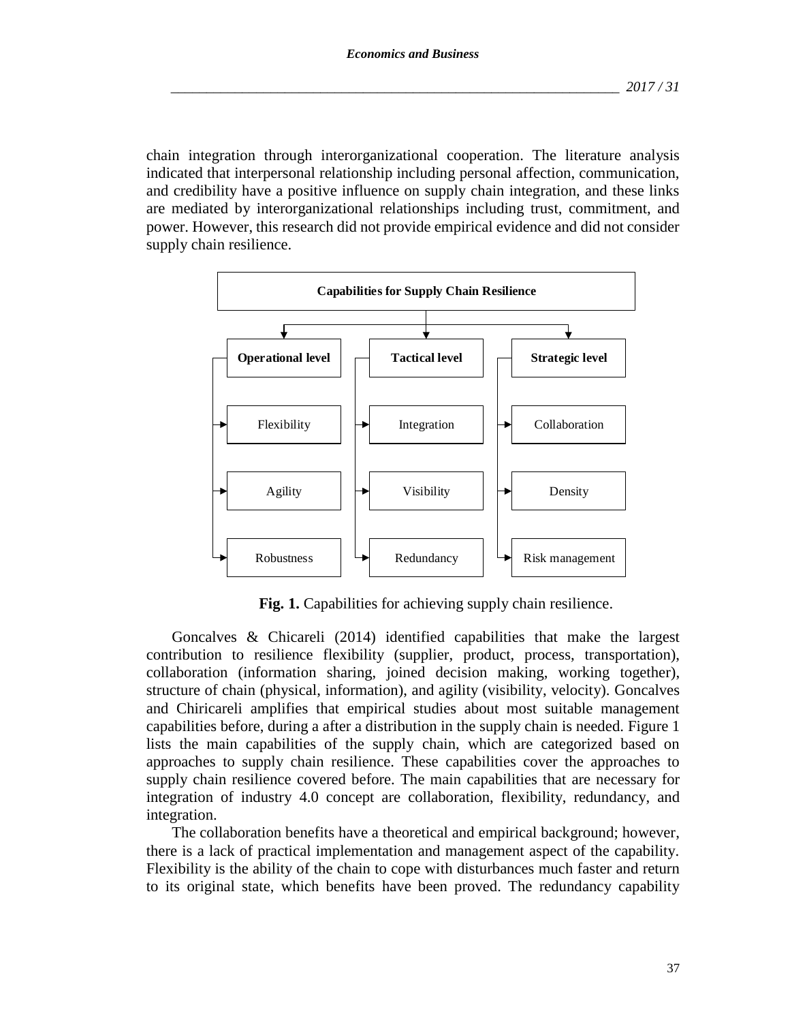chain integration through interorganizational cooperation. The literature analysis indicated that interpersonal relationship including personal affection, communication, and credibility have a positive influence on supply chain integration, and these links are mediated by interorganizational relationships including trust, commitment, and power. However, this research did not provide empirical evidence and did not consider supply chain resilience.



**Fig. 1.** Capabilities for achieving supply chain resilience.

Goncalves & Chicareli (2014) identified capabilities that make the largest contribution to resilience flexibility (supplier, product, process, transportation), collaboration (information sharing, joined decision making, working together), structure of chain (physical, information), and agility (visibility, velocity). Goncalves and Chiricareli amplifies that empirical studies about most suitable management capabilities before, during a after a distribution in the supply chain is needed. Figure 1 lists the main capabilities of the supply chain, which are categorized based on approaches to supply chain resilience. These capabilities cover the approaches to supply chain resilience covered before. The main capabilities that are necessary for integration of industry 4.0 concept are collaboration, flexibility, redundancy, and integration.

The collaboration benefits have a theoretical and empirical background; however, there is a lack of practical implementation and management aspect of the capability. Flexibility is the ability of the chain to cope with disturbances much faster and return to its original state, which benefits have been proved. The redundancy capability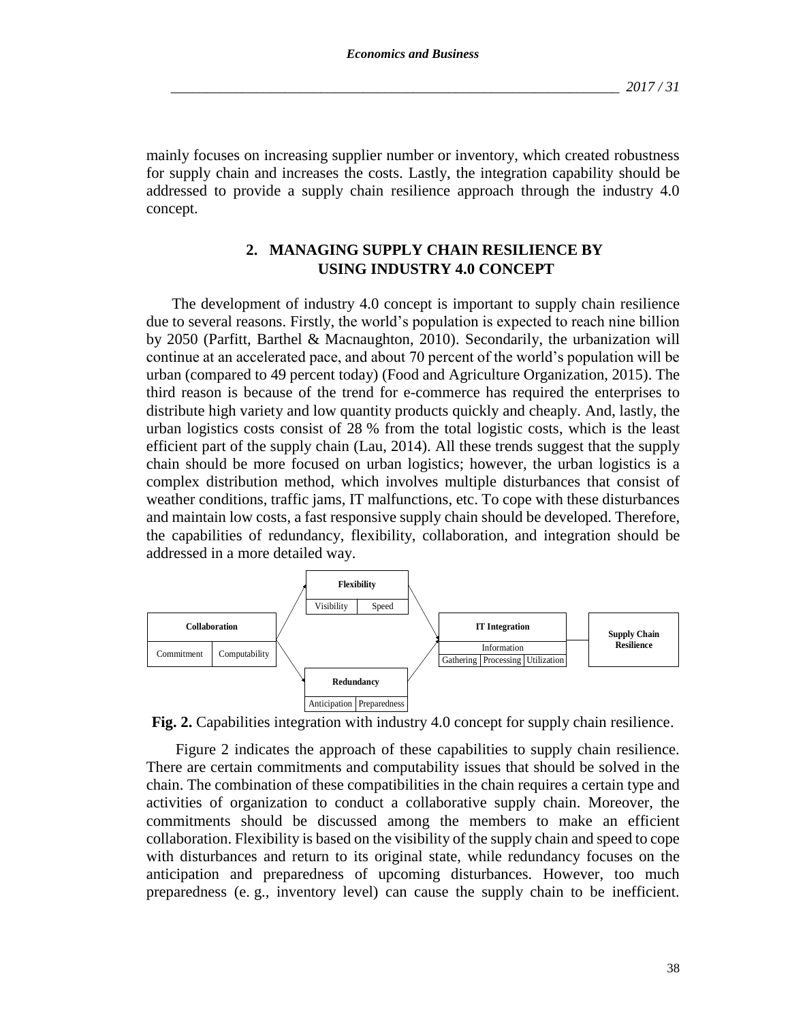mainly focuses on increasing supplier number or inventory, which created robustness for supply chain and increases the costs. Lastly, the integration capability should be addressed to provide a supply chain resilience approach through the industry 4.0 concept.

# **2. MANAGING SUPPLY CHAIN RESILIENCE BY USING INDUSTRY 4.0 CONCEPT**

The development of industry 4.0 concept is important to supply chain resilience due to several reasons. Firstly, the world's population is expected to reach nine billion by 2050 (Parfitt, Barthel & Macnaughton, 2010). Secondarily, the urbanization will continue at an accelerated pace, and about 70 percent of the world's population will be urban (compared to 49 percent today) (Food and Agriculture Organization, 2015). The third reason is because of the trend for e-commerce has required the enterprises to distribute high variety and low quantity products quickly and cheaply. And, lastly, the urban logistics costs consist of 28 % from the total logistic costs, which is the least efficient part of the supply chain (Lau, 2014). All these trends suggest that the supply chain should be more focused on urban logistics; however, the urban logistics is a complex distribution method, which involves multiple disturbances that consist of weather conditions, traffic jams, IT malfunctions, etc. To cope with these disturbances and maintain low costs, a fast responsive supply chain should be developed. Therefore, the capabilities of redundancy, flexibility, collaboration, and integration should be addressed in a more detailed way.



**Fig. 2.** Capabilities integration with industry 4.0 concept for supply chain resilience.

Figure 2 indicates the approach of these capabilities to supply chain resilience. There are certain commitments and computability issues that should be solved in the chain. The combination of these compatibilities in the chain requires a certain type and activities of organization to conduct a collaborative supply chain. Moreover, the commitments should be discussed among the members to make an efficient collaboration. Flexibility is based on the visibility of the supply chain and speed to cope with disturbances and return to its original state, while redundancy focuses on the anticipation and preparedness of upcoming disturbances. However, too much preparedness (e. g., inventory level) can cause the supply chain to be inefficient.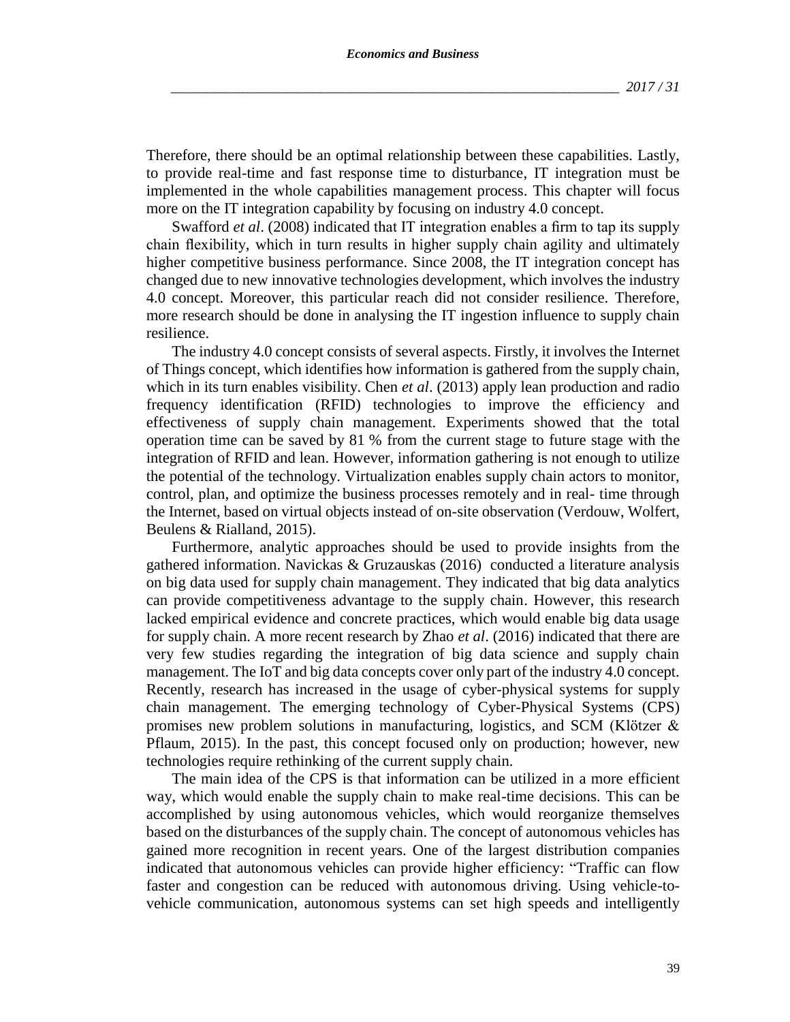Therefore, there should be an optimal relationship between these capabilities. Lastly, to provide real-time and fast response time to disturbance, IT integration must be implemented in the whole capabilities management process. This chapter will focus more on the IT integration capability by focusing on industry 4.0 concept.

Swafford *et al*. (2008) indicated that IT integration enables a firm to tap its supply chain flexibility, which in turn results in higher supply chain agility and ultimately higher competitive business performance. Since 2008, the IT integration concept has changed due to new innovative technologies development, which involves the industry 4.0 concept. Moreover, this particular reach did not consider resilience. Therefore, more research should be done in analysing the IT ingestion influence to supply chain resilience.

The industry 4.0 concept consists of several aspects. Firstly, it involves the Internet of Things concept, which identifies how information is gathered from the supply chain, which in its turn enables visibility. Chen *et al.* (2013) apply lean production and radio frequency identification (RFID) technologies to improve the efficiency and effectiveness of supply chain management. Experiments showed that the total operation time can be saved by 81 % from the current stage to future stage with the integration of RFID and lean. However, information gathering is not enough to utilize the potential of the technology. Virtualization enables supply chain actors to monitor, control, plan, and optimize the business processes remotely and in real- time through the Internet, based on virtual objects instead of on-site observation (Verdouw, Wolfert, Beulens & Rialland, 2015).

Furthermore, analytic approaches should be used to provide insights from the gathered information. Navickas & Gruzauskas (2016) conducted a literature analysis on big data used for supply chain management. They indicated that big data analytics can provide competitiveness advantage to the supply chain. However, this research lacked empirical evidence and concrete practices, which would enable big data usage for supply chain. A more recent research by Zhao *et al*. (2016) indicated that there are very few studies regarding the integration of big data science and supply chain management. The IoT and big data concepts cover only part of the industry 4.0 concept. Recently, research has increased in the usage of cyber-physical systems for supply chain management. The emerging technology of Cyber-Physical Systems (CPS) promises new problem solutions in manufacturing, logistics, and SCM (Klötzer & Pflaum, 2015). In the past, this concept focused only on production; however, new technologies require rethinking of the current supply chain.

The main idea of the CPS is that information can be utilized in a more efficient way, which would enable the supply chain to make real-time decisions. This can be accomplished by using autonomous vehicles, which would reorganize themselves based on the disturbances of the supply chain. The concept of autonomous vehicles has gained more recognition in recent years. One of the largest distribution companies indicated that autonomous vehicles can provide higher efficiency: "Traffic can flow faster and congestion can be reduced with autonomous driving. Using vehicle-tovehicle communication, autonomous systems can set high speeds and intelligently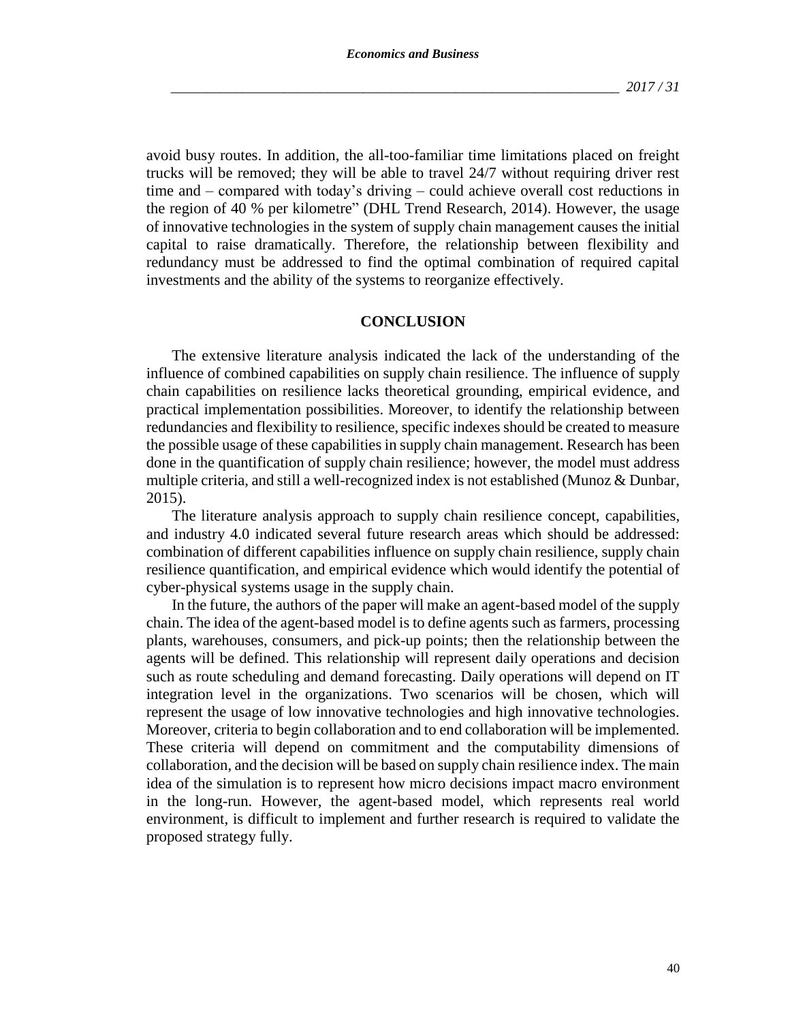avoid busy routes. In addition, the all-too-familiar time limitations placed on freight trucks will be removed; they will be able to travel 24/7 without requiring driver rest time and – compared with today's driving – could achieve overall cost reductions in the region of 40 % per kilometre" (DHL Trend Research, 2014). However, the usage of innovative technologies in the system of supply chain management causes the initial capital to raise dramatically. Therefore, the relationship between flexibility and redundancy must be addressed to find the optimal combination of required capital investments and the ability of the systems to reorganize effectively.

### **CONCLUSION**

The extensive literature analysis indicated the lack of the understanding of the influence of combined capabilities on supply chain resilience. The influence of supply chain capabilities on resilience lacks theoretical grounding, empirical evidence, and practical implementation possibilities. Moreover, to identify the relationship between redundancies and flexibility to resilience, specific indexes should be created to measure the possible usage of these capabilities in supply chain management. Research has been done in the quantification of supply chain resilience; however, the model must address multiple criteria, and still a well-recognized index is not established (Munoz & Dunbar, 2015).

The literature analysis approach to supply chain resilience concept, capabilities, and industry 4.0 indicated several future research areas which should be addressed: combination of different capabilities influence on supply chain resilience, supply chain resilience quantification, and empirical evidence which would identify the potential of cyber-physical systems usage in the supply chain.

In the future, the authors of the paper will make an agent-based model of the supply chain. The idea of the agent-based model is to define agents such as farmers, processing plants, warehouses, consumers, and pick-up points; then the relationship between the agents will be defined. This relationship will represent daily operations and decision such as route scheduling and demand forecasting. Daily operations will depend on IT integration level in the organizations. Two scenarios will be chosen, which will represent the usage of low innovative technologies and high innovative technologies. Moreover, criteria to begin collaboration and to end collaboration will be implemented. These criteria will depend on commitment and the computability dimensions of collaboration, and the decision will be based on supply chain resilience index. The main idea of the simulation is to represent how micro decisions impact macro environment in the long-run. However, the agent-based model, which represents real world environment, is difficult to implement and further research is required to validate the proposed strategy fully.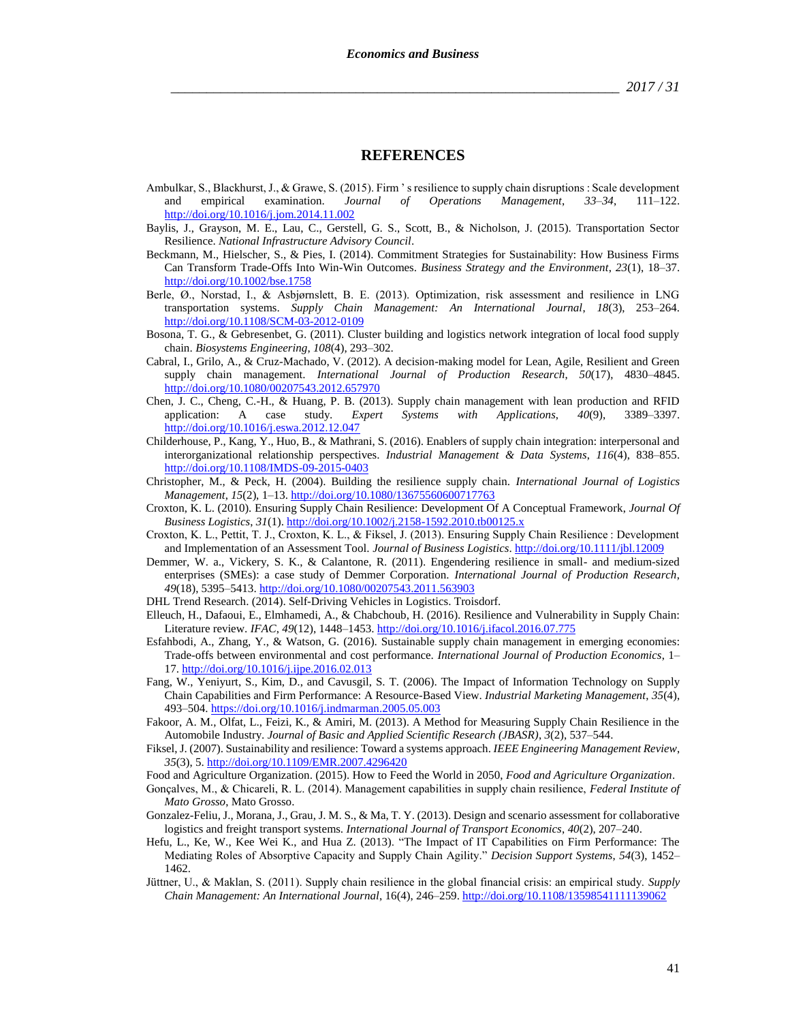#### **REFERENCES**

- Ambulkar, S., Blackhurst, J., & Grawe, S. (2015). Firm ' s resilience to supply chain disruptions : Scale development and empirical examination. *Journal of Operations Management*, *33–34*, 111–122. <http://doi.org/10.1016/j.jom.2014.11.002>
- Baylis, J., Grayson, M. E., Lau, C., Gerstell, G. S., Scott, B., & Nicholson, J. (2015). Transportation Sector Resilience. *National Infrastructure Advisory Council*.
- Beckmann, M., Hielscher, S., & Pies, I. (2014). Commitment Strategies for Sustainability: How Business Firms Can Transform Trade-Offs Into Win-Win Outcomes. *Business Strategy and the Environment*, *23*(1), 18–37. <http://doi.org/10.1002/bse.1758>
- Berle, Ø., Norstad, I., & Asbjørnslett, B. E. (2013). Optimization, risk assessment and resilience in LNG transportation systems. *Supply Chain Management: An International Journal*, *18*(3), 253–264. <http://doi.org/10.1108/SCM-03-2012-0109>
- Bosona, T. G., & Gebresenbet, G. (2011). Cluster building and logistics network integration of local food supply chain. *Biosystems Engineering*, *108*(4), 293–302.
- Cabral, I., Grilo, A., & Cruz-Machado, V. (2012). A decision-making model for Lean, Agile, Resilient and Green supply chain management. *International Journal of Production Research*, *50*(17), 4830–4845. <http://doi.org/10.1080/00207543.2012.657970>
- Chen, J. C., Cheng, C.-H., & Huang, P. B. (2013). Supply chain management with lean production and RFID application: A case study. *Expert Systems with Applications*, *40*(9), 3389–3397. <http://doi.org/10.1016/j.eswa.2012.12.047>
- Childerhouse, P., Kang, Y., Huo, B., & Mathrani, S. (2016). Enablers of supply chain integration: interpersonal and interorganizational relationship perspectives. *Industrial Management & Data Systems*, *116*(4), 838–855. <http://doi.org/10.1108/IMDS-09-2015-0403>
- Christopher, M., & Peck, H. (2004). Building the resilience supply chain. *International Journal of Logistics Management*, *15*(2), 1–13[. http://doi.org/10.1080/13675560600717763](http://doi.org/10.1080/13675560600717763)
- Croxton, K. L. (2010). Ensuring Supply Chain Resilience: Development Of A Conceptual Framework, *Journal Of Business Logistics*, *31*(1)[. http://doi.org/10.1002/j.2158-1592.2010.tb00125.x](http://doi.org/10.1002/j.2158-1592.2010.tb00125.x)
- Croxton, K. L., Pettit, T. J., Croxton, K. L., & Fiksel, J. (2013). Ensuring Supply Chain Resilience : Development and Implementation of an Assessment Tool. *Journal of Business Logistics*.<http://doi.org/10.1111/jbl.12009>
- Demmer, W. a., Vickery, S. K., & Calantone, R. (2011). Engendering resilience in small- and medium-sized enterprises (SMEs): a case study of Demmer Corporation. *International Journal of Production Research*, *49*(18), 5395–5413.<http://doi.org/10.1080/00207543.2011.563903>
- DHL Trend Research. (2014). Self-Driving Vehicles in Logistics. Troisdorf.
- Elleuch, H., Dafaoui, E., Elmhamedi, A., & Chabchoub, H. (2016). Resilience and Vulnerability in Supply Chain: Literature review. *IFAC*, *49*(12), 1448–1453[. http://doi.org/10.1016/j.ifacol.2016.07.775](http://doi.org/10.1016/j.ifacol.2016.07.775)
- Esfahbodi, A., Zhang, Y., & Watson, G. (2016). Sustainable supply chain management in emerging economies: Trade-offs between environmental and cost performance. *International Journal of Production Economics*, 1– 17.<http://doi.org/10.1016/j.ijpe.2016.02.013>
- Fang, W., Yeniyurt, S., Kim, D., and Cavusgil, S. T. (2006). The Impact of Information Technology on Supply Chain Capabilities and Firm Performance: A Resource-Based View. *Industrial Marketing Management*, *35*(4), 493–504. <https://doi.org/10.1016/j.indmarman.2005.05.003>
- Fakoor, A. M., Olfat, L., Feizi, K., & Amiri, M. (2013). A Method for Measuring Supply Chain Resilience in the Automobile Industry. *Journal of Basic and Applied Scientific Research (JBASR)*, *3*(2), 537–544.
- Fiksel, J. (2007). Sustainability and resilience: Toward a systems approach. *IEEE Engineering Management Review*, *35*(3), 5[. http://doi.org/10.1109/EMR.2007.4296420](http://doi.org/10.1109/EMR.2007.4296420)
- Food and Agriculture Organization. (2015). How to Feed the World in 2050, *Food and Agriculture Organization*.
- Gonçalves, M., & Chicareli, R. L. (2014). Management capabilities in supply chain resilience, *Federal Institute of Mato Grosso*, Mato Grosso.
- Gonzalez-Feliu, J., Morana, J., Grau, J. M. S., & Ma, T. Y. (2013). Design and scenario assessment for collaborative logistics and freight transport systems. *International Journal of Transport Economics*, *40*(2), 207–240.
- Hefu, L., Ke, W., Kee Wei K., and Hua Z. (2013). "The Impact of IT Capabilities on Firm Performance: The Mediating Roles of Absorptive Capacity and Supply Chain Agility." *Decision Support Systems*, *54*(3), 1452– 1462.
- Jüttner, U., & Maklan, S. (2011). Supply chain resilience in the global financial crisis: an empirical study. *Supply Chain Management: An International Journal*, 16(4), 246–259[. http://doi.org/10.1108/13598541111139062](http://doi.org/10.1108/13598541111139062)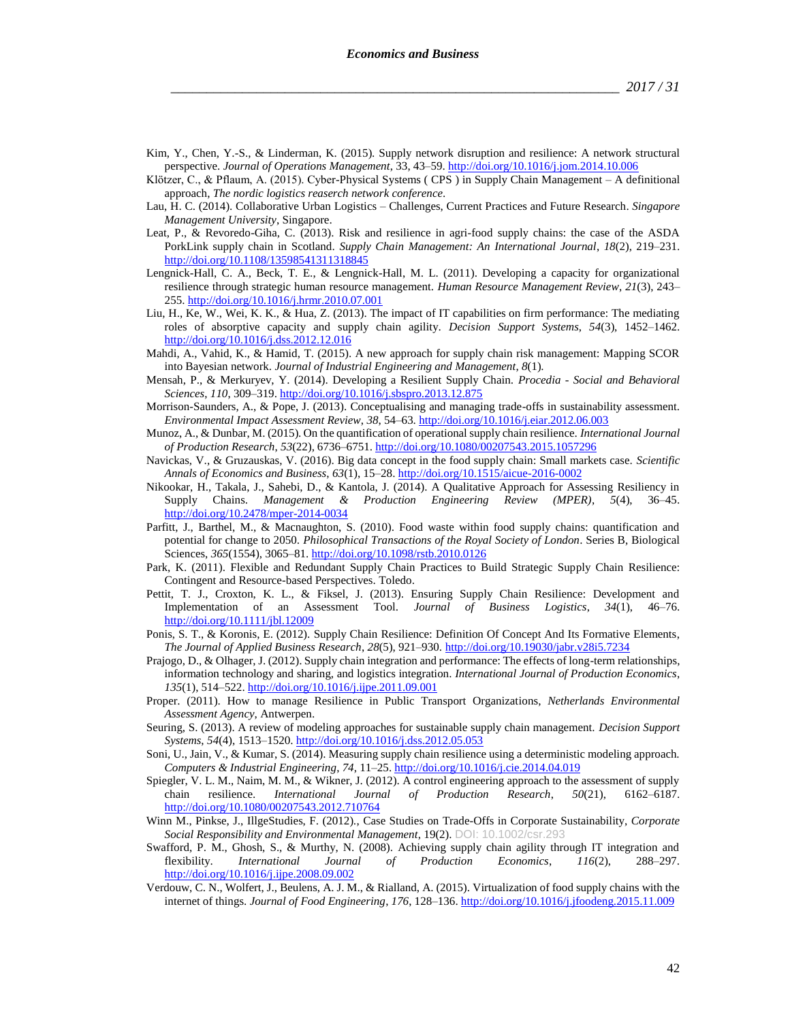- Kim, Y., Chen, Y.-S., & Linderman, K. (2015). Supply network disruption and resilience: A network structural perspective. *Journal of Operations Management*, 33, 43–59[. http://doi.org/10.1016/j.jom.2014.10.006](http://doi.org/10.1016/j.jom.2014.10.006)
- Klötzer, C., & Pflaum, A. (2015). Cyber-Physical Systems ( CPS ) in Supply Chain Management A definitional approach, *The nordic logistics reaserch network conference*.
- Lau, H. C. (2014). Collaborative Urban Logistics Challenges, Current Practices and Future Research. *Singapore Management University*, Singapore.
- Leat, P., & Revoredo-Giha, C. (2013). Risk and resilience in agri-food supply chains: the case of the ASDA PorkLink supply chain in Scotland. *Supply Chain Management: An International Journal*, *18*(2), 219–231. <http://doi.org/10.1108/13598541311318845>
- Lengnick-Hall, C. A., Beck, T. E., & Lengnick-Hall, M. L. (2011). Developing a capacity for organizational resilience through strategic human resource management. *Human Resource Management Review*, *21*(3), 243– 255[. http://doi.org/10.1016/j.hrmr.2010.07.001](http://doi.org/10.1016/j.hrmr.2010.07.001)
- Liu, H., Ke, W., Wei, K. K., & Hua, Z. (2013). The impact of IT capabilities on firm performance: The mediating roles of absorptive capacity and supply chain agility. *Decision Support Systems*, *54*(3), 1452–1462. <http://doi.org/10.1016/j.dss.2012.12.016>
- Mahdi, A., Vahid, K., & Hamid, T. (2015). A new approach for supply chain risk management: Mapping SCOR into Bayesian network. *Journal of Industrial Engineering and Management*, *8*(1).
- Mensah, P., & Merkuryev, Y. (2014). Developing a Resilient Supply Chain. *Procedia - Social and Behavioral Sciences*, *110*, 309–319.<http://doi.org/10.1016/j.sbspro.2013.12.875>
- Morrison-Saunders, A., & Pope, J. (2013). Conceptualising and managing trade-offs in sustainability assessment. *Environmental Impact Assessment Review*, *38*, 54–63.<http://doi.org/10.1016/j.eiar.2012.06.003>
- Munoz, A., & Dunbar, M. (2015). On the quantification of operational supply chain resilience. *International Journal of Production Research*, *53*(22), 6736–6751.<http://doi.org/10.1080/00207543.2015.1057296>
- Navickas, V., & Gruzauskas, V. (2016). Big data concept in the food supply chain: Small markets case. *Scientific Annals of Economics and Business*, *63*(1), 15–28[. http://doi.org/10.1515/aicue-2016-0002](http://doi.org/10.1515/aicue-2016-0002)
- Nikookar, H., Takala, J., Sahebi, D., & Kantola, J. (2014). A Qualitative Approach for Assessing Resiliency in Supply Chains. *Management & Production Engineering Review (MPER)*, *5*(4), 36–45. <http://doi.org/10.2478/mper-2014-0034>
- Parfitt, J., Barthel, M., & Macnaughton, S. (2010). Food waste within food supply chains: quantification and potential for change to 2050. *Philosophical Transactions of the Royal Society of London*. Series B, Biological Sciences, *365*(1554), 3065–81[. http://doi.org/10.1098/rstb.2010.0126](http://doi.org/10.1098/rstb.2010.0126)
- Park, K. (2011). Flexible and Redundant Supply Chain Practices to Build Strategic Supply Chain Resilience: Contingent and Resource-based Perspectives. Toledo.
- Pettit, T. J., Croxton, K. L., & Fiksel, J. (2013). Ensuring Supply Chain Resilience: Development and Implementation of an Assessment Tool. *Journal of Business Logistics*, *34*(1), 46–76. <http://doi.org/10.1111/jbl.12009>
- Ponis, S. T., & Koronis, E. (2012). Supply Chain Resilience: Definition Of Concept And Its Formative Elements, *The Journal of Applied Business Research*, *28*(5), 921–930. <http://doi.org/10.19030/jabr.v28i5.7234>
- Prajogo, D., & Olhager, J. (2012). Supply chain integration and performance: The effects of long-term relationships, information technology and sharing, and logistics integration. *International Journal of Production Economics*, *135*(1), 514–522.<http://doi.org/10.1016/j.ijpe.2011.09.001>
- Proper. (2011). How to manage Resilience in Public Transport Organizations, *Netherlands Environmental Assessment Agency*, Antwerpen.
- Seuring, S. (2013). A review of modeling approaches for sustainable supply chain management. *Decision Support Systems*, *54*(4), 1513–1520[. http://doi.org/10.1016/j.dss.2012.05.053](http://doi.org/10.1016/j.dss.2012.05.053)
- Soni, U., Jain, V., & Kumar, S. (2014). Measuring supply chain resilience using a deterministic modeling approach. *Computers & Industrial Engineering*, *74*, 11–25.<http://doi.org/10.1016/j.cie.2014.04.019>
- Spiegler, V. L. M., Naim, M. M., & Wikner, J. (2012). A control engineering approach to the assessment of supply chain resilience. *International Journal of Production Research*, *50*(21), 6162–6187. <http://doi.org/10.1080/00207543.2012.710764>
- Winn M., Pinkse, J., IllgeStudies, F. (2012)., Case Studies on Trade-Offs in Corporate Sustainability, *Corporate Social Responsibility and Environmental Management*, 19(2). DOI: 10.1002/csr.293
- Swafford, P. M., Ghosh, S., & Murthy, N. (2008). Achieving supply chain agility through IT integration and flexibility. *International Journal of Production Economics*, *116*(2), 288–297. <http://doi.org/10.1016/j.ijpe.2008.09.002>
- Verdouw, C. N., Wolfert, J., Beulens, A. J. M., & Rialland, A. (2015). Virtualization of food supply chains with the internet of things. *Journal of Food Engineering*, *176*, 128–136[. http://doi.org/10.1016/j.jfoodeng.2015.11.009](http://doi.org/10.1016/j.jfoodeng.2015.11.009)